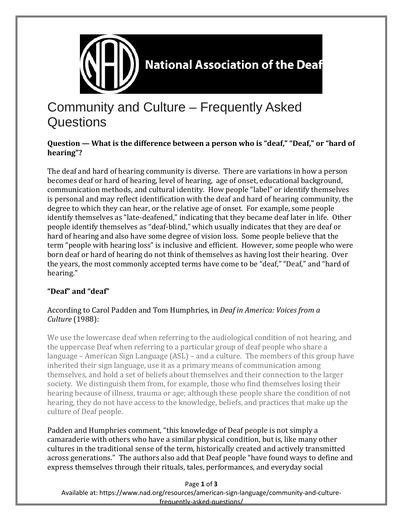

# Community and Culture – Frequently Asked **Questions**

#### **Question — What is the difference between a person who is "deaf," "Deaf," or "hard of hearing"?**

The deaf and hard of hearing community is diverse. There are variations in how a person becomes deaf or hard of hearing, level of hearing, age of onset, educational background, communication methods, and cultural identity. How people "label" or identify themselves is personal and may reflect identification with the deaf and hard of hearing community, the degree to which they can hear, or the relative age of onset. For example, some people identify themselves as "late-deafened," indicating that they became deaf later in life. Other people identify themselves as "deaf-blind," which usually indicates that they are deaf or hard of hearing and also have some degree of vision loss. Some people believe that the term "people with hearing loss" is inclusive and efficient. However, some people who were born deaf or hard of hearing do not think of themselves as having lost their hearing. Over the years, the most commonly accepted terms have come to be "deaf," "Deaf," and "hard of hearing."

### **"Deaf" and "deaf"**

#### According to Carol Padden and Tom Humphries, in *Deaf in America: Voices from a Culture* (1988):

We use the lowercase deaf when referring to the audiological condition of not hearing, and the uppercase Deaf when referring to a particular group of deaf people who share a language – American Sign Language (ASL) – and a culture. The members of this group have inherited their sign language, use it as a primary means of communication among themselves, and hold a set of beliefs about themselves and their connection to the larger society. We distinguish them from, for example, those who find themselves losing their hearing because of illness, trauma or age; although these people share the condition of not hearing, they do not have access to the knowledge, beliefs, and practices that make up the culture of Deaf people.

Padden and Humphries comment, "this knowledge of Deaf people is not simply a camaraderie with others who have a similar physical condition, but is, like many other cultures in the traditional sense of the term, historically created and actively transmitted across generations." The authors also add that Deaf people "have found ways to define and express themselves through their rituals, tales, performances, and everyday social

Page **1** of **3**

Available at: https://www.nad.org/resources/american-sign-language/community-and-culturefrequently-asked-questions/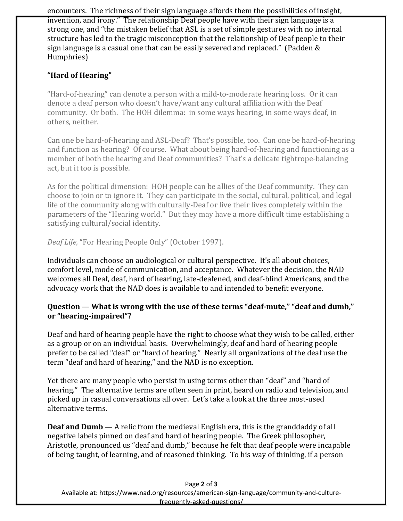encounters. The richness of their sign language affords them the possibilities of insight, invention, and irony." The relationship Deaf people have with their sign language is a strong one, and "the mistaken belief that ASL is a set of simple gestures with no internal structure has led to the tragic misconception that the relationship of Deaf people to their sign language is a casual one that can be easily severed and replaced." (Padden & Humphries)

## **"Hard of Hearing"**

"Hard-of-hearing" can denote a person with a mild-to-moderate hearing loss. Or it can denote a deaf person who doesn't have/want any cultural affiliation with the Deaf community. Or both. The HOH dilemma: in some ways hearing, in some ways deaf, in others, neither.

Can one be hard-of-hearing and ASL-Deaf? That's possible, too. Can one be hard-of-hearing and function as hearing? Of course. What about being hard-of-hearing and functioning as a member of both the hearing and Deaf communities? That's a delicate tightrope-balancing act, but it too is possible.

As for the political dimension: HOH people can be allies of the Deaf community. They can choose to join or to ignore it. They can participate in the social, cultural, political, and legal life of the community along with culturally-Deaf or live their lives completely within the parameters of the "Hearing world." But they may have a more difficult time establishing a satisfying cultural/social identity.

*Deaf Life,* "For Hearing People Only" (October 1997).

Individuals can choose an audiological or cultural perspective. It's all about choices, comfort level, mode of communication, and acceptance. Whatever the decision, the NAD welcomes all Deaf, deaf, hard of hearing, late-deafened, and deaf-blind Americans, and the advocacy work that the NAD does is available to and intended to benefit everyone.

#### **Question — What is wrong with the use of these terms "deaf-mute," "deaf and dumb," or "hearing-impaired"?**

Deaf and hard of hearing people have the right to choose what they wish to be called, either as a group or on an individual basis. Overwhelmingly, deaf and hard of hearing people prefer to be called "deaf" or "hard of hearing." Nearly all organizations of the deaf use the term "deaf and hard of hearing," and the NAD is no exception.

Yet there are many people who persist in using terms other than "deaf" and "hard of hearing." The alternative terms are often seen in print, heard on radio and television, and picked up in casual conversations all over. Let's take a look at the three most-used alternative terms.

**Deaf and Dumb** — A relic from the medieval English era, this is the granddaddy of all negative labels pinned on deaf and hard of hearing people. The Greek philosopher, Aristotle, pronounced us "deaf and dumb," because he felt that deaf people were incapable of being taught, of learning, and of reasoned thinking. To his way of thinking, if a person

Available at: https://www.nad.org/resources/american-sign-language/community-and-culturefrequently-asked-questions/

#### Page **2** of **3**